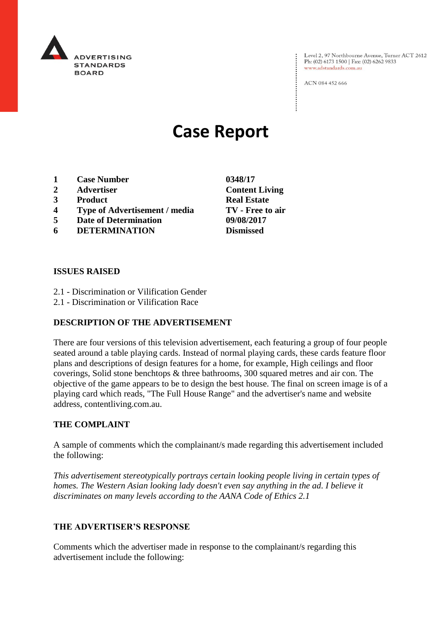

Level 2, 97 Northbourne Avenue, Turner ACT 2612<br>Ph: (02) 6173 1500 | Fax: (02) 6262 9833 www.adstandards.com.au

ACN 084 452 666

# **Case Report**

- **1 Case Number 0348/17**
- **2 Advertiser Content Living**
- **3 Product Real Estate**
- **4 Type of Advertisement / media TV - Free to air**
- **5 Date of Determination 09/08/2017**
- **6 DETERMINATION Dismissed**

## **ISSUES RAISED**

- 2.1 Discrimination or Vilification Gender
- 2.1 Discrimination or Vilification Race

## **DESCRIPTION OF THE ADVERTISEMENT**

There are four versions of this television advertisement, each featuring a group of four people seated around a table playing cards. Instead of normal playing cards, these cards feature floor plans and descriptions of design features for a home, for example, High ceilings and floor coverings, Solid stone benchtops & three bathrooms, 300 squared metres and air con. The objective of the game appears to be to design the best house. The final on screen image is of a playing card which reads, "The Full House Range" and the advertiser's name and website address, contentliving.com.au.

## **THE COMPLAINT**

A sample of comments which the complainant/s made regarding this advertisement included the following:

*This advertisement stereotypically portrays certain looking people living in certain types of homes. The Western Asian looking lady doesn't even say anything in the ad. I believe it discriminates on many levels according to the AANA Code of Ethics 2.1*

## **THE ADVERTISER'S RESPONSE**

Comments which the advertiser made in response to the complainant/s regarding this advertisement include the following: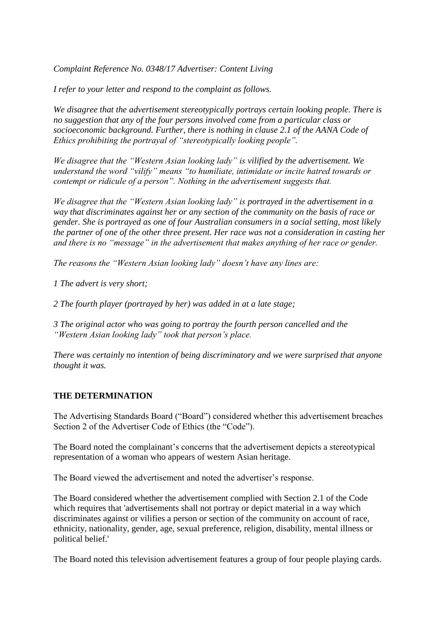*Complaint Reference No. 0348/17 Advertiser: Content Living*

*I refer to your letter and respond to the complaint as follows.*

*We disagree that the advertisement stereotypically portrays certain looking people. There is no suggestion that any of the four persons involved come from a particular class or socioeconomic background. Further, there is nothing in clause 2.1 of the AANA Code of Ethics prohibiting the portrayal of "stereotypically looking people".*

*We disagree that the "Western Asian looking lady" is vilified by the advertisement. We understand the word "vilify" means "to humiliate, intimidate or incite hatred towards or contempt or ridicule of a person". Nothing in the advertisement suggests that.*

*We disagree that the "Western Asian looking lady" is portrayed in the advertisement in a way that discriminates against her or any section of the community on the basis of race or gender. She is portrayed as one of four Australian consumers in a social setting, most likely the partner of one of the other three present. Her race was not a consideration in casting her and there is no "message" in the advertisement that makes anything of her race or gender.*

*The reasons the "Western Asian looking lady" doesn't have any lines are:*

*1 The advert is very short;*

*2 The fourth player (portrayed by her) was added in at a late stage;*

*3 The original actor who was going to portray the fourth person cancelled and the "Western Asian looking lady" took that person's place.*

*There was certainly no intention of being discriminatory and we were surprised that anyone thought it was.*

## **THE DETERMINATION**

The Advertising Standards Board ("Board") considered whether this advertisement breaches Section 2 of the Advertiser Code of Ethics (the "Code").

The Board noted the complainant's concerns that the advertisement depicts a stereotypical representation of a woman who appears of western Asian heritage.

The Board viewed the advertisement and noted the advertiser's response.

The Board considered whether the advertisement complied with Section 2.1 of the Code which requires that 'advertisements shall not portray or depict material in a way which discriminates against or vilifies a person or section of the community on account of race, ethnicity, nationality, gender, age, sexual preference, religion, disability, mental illness or political belief.'

The Board noted this television advertisement features a group of four people playing cards.